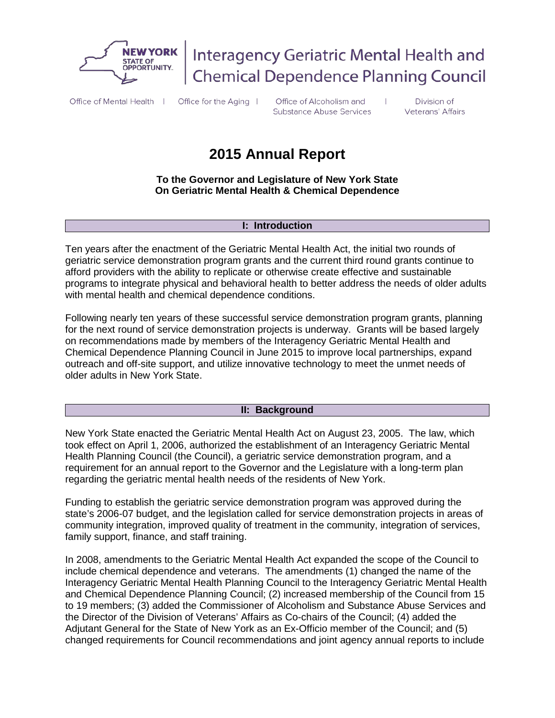

Interagency Geriatric Mental Health and **Chemical Dependence Planning Council** 

Office of Mental Health | Office for the Aging |

Office of Alcoholism and **Substance Abuse Services** 

Division of Veterans' Affairs

# **2015 Annual Report**

**To the Governor and Legislature of New York State On Geriatric Mental Health & Chemical Dependence**

#### **I: Introduction**

Ten years after the enactment of the Geriatric Mental Health Act, the initial two rounds of geriatric service demonstration program grants and the current third round grants continue to afford providers with the ability to replicate or otherwise create effective and sustainable programs to integrate physical and behavioral health to better address the needs of older adults with mental health and chemical dependence conditions.

Following nearly ten years of these successful service demonstration program grants, planning for the next round of service demonstration projects is underway. Grants will be based largely on recommendations made by members of the Interagency Geriatric Mental Health and Chemical Dependence Planning Council in June 2015 to improve local partnerships, expand outreach and off-site support, and utilize innovative technology to meet the unmet needs of older adults in New York State.

#### **II: Background**

New York State enacted the Geriatric Mental Health Act on August 23, 2005. The law, which took effect on April 1, 2006, authorized the establishment of an Interagency Geriatric Mental Health Planning Council (the Council), a geriatric service demonstration program, and a requirement for an annual report to the Governor and the Legislature with a long-term plan regarding the geriatric mental health needs of the residents of New York.

Funding to establish the geriatric service demonstration program was approved during the state's 2006-07 budget, and the legislation called for service demonstration projects in areas of community integration, improved quality of treatment in the community, integration of services, family support, finance, and staff training.

In 2008, amendments to the Geriatric Mental Health Act expanded the scope of the Council to include chemical dependence and veterans. The amendments (1) changed the name of the Interagency Geriatric Mental Health Planning Council to the Interagency Geriatric Mental Health and Chemical Dependence Planning Council; (2) increased membership of the Council from 15 to 19 members; (3) added the Commissioner of Alcoholism and Substance Abuse Services and the Director of the Division of Veterans' Affairs as Co-chairs of the Council; (4) added the Adjutant General for the State of New York as an Ex-Officio member of the Council; and (5) changed requirements for Council recommendations and joint agency annual reports to include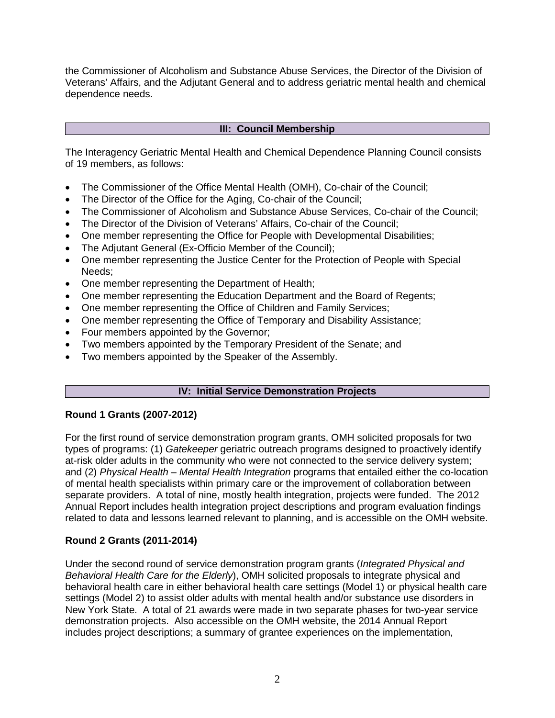the Commissioner of Alcoholism and Substance Abuse Services, the Director of the Division of Veterans' Affairs, and the Adjutant General and to address geriatric mental health and chemical dependence needs.

### **III: Council Membership**

The Interagency Geriatric Mental Health and Chemical Dependence Planning Council consists of 19 members, as follows:

- The Commissioner of the Office Mental Health (OMH), Co-chair of the Council;
- The Director of the Office for the Aging, Co-chair of the Council;
- The Commissioner of Alcoholism and Substance Abuse Services, Co-chair of the Council;
- The Director of the Division of Veterans' Affairs, Co-chair of the Council;
- One member representing the Office for People with Developmental Disabilities;
- The Adjutant General (Ex-Officio Member of the Council);
- One member representing the Justice Center for the Protection of People with Special Needs;
- One member representing the Department of Health;
- One member representing the Education Department and the Board of Regents;
- One member representing the Office of Children and Family Services;
- One member representing the Office of Temporary and Disability Assistance:
- Four members appointed by the Governor;
- Two members appointed by the Temporary President of the Senate; and
- Two members appointed by the Speaker of the Assembly.

## **IV: Initial Service Demonstration Projects**

## **Round 1 Grants (2007-2012)**

For the first round of service demonstration program grants, OMH solicited proposals for two types of programs: (1) *Gatekeeper* geriatric outreach programs designed to proactively identify at-risk older adults in the community who were not connected to the service delivery system; and (2) *Physical Health – Mental Health Integration* programs that entailed either the co-location of mental health specialists within primary care or the improvement of collaboration between separate providers. A total of nine, mostly health integration, projects were funded. The 2012 Annual Report includes health integration project descriptions and program evaluation findings related to data and lessons learned relevant to planning, and is accessible on the OMH website.

## **Round 2 Grants (2011-2014)**

Under the second round of service demonstration program grants (*Integrated Physical and Behavioral Health Care for the Elderly*), OMH solicited proposals to integrate physical and behavioral health care in either behavioral health care settings (Model 1) or physical health care settings (Model 2) to assist older adults with mental health and/or substance use disorders in New York State. A total of 21 awards were made in two separate phases for two-year service demonstration projects. Also accessible on the OMH website, the 2014 Annual Report includes project descriptions; a summary of grantee experiences on the implementation,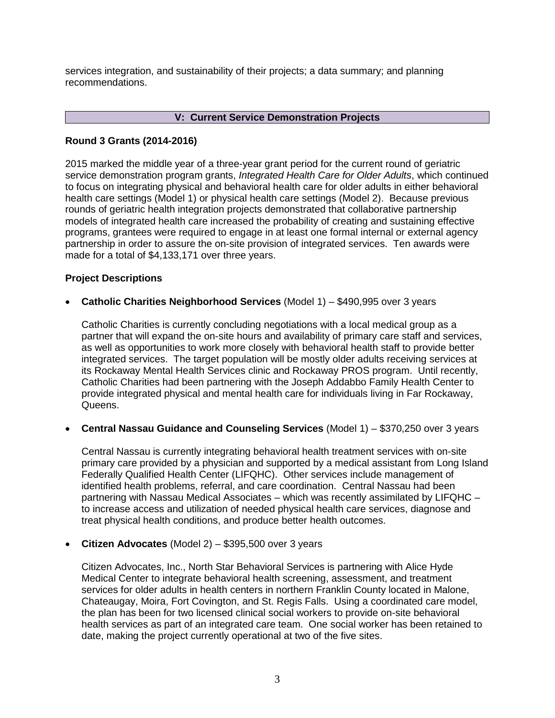services integration, and sustainability of their projects; a data summary; and planning recommendations.

### **V: Current Service Demonstration Projects**

## **Round 3 Grants (2014-2016)**

2015 marked the middle year of a three-year grant period for the current round of geriatric service demonstration program grants, *Integrated Health Care for Older Adults*, which continued to focus on integrating physical and behavioral health care for older adults in either behavioral health care settings (Model 1) or physical health care settings (Model 2). Because previous rounds of geriatric health integration projects demonstrated that collaborative partnership models of integrated health care increased the probability of creating and sustaining effective programs, grantees were required to engage in at least one formal internal or external agency partnership in order to assure the on-site provision of integrated services. Ten awards were made for a total of \$4,133,171 over three years.

### **Project Descriptions**

• **Catholic Charities Neighborhood Services** (Model 1) – \$490,995 over 3 years

Catholic Charities is currently concluding negotiations with a local medical group as a partner that will expand the on-site hours and availability of primary care staff and services, as well as opportunities to work more closely with behavioral health staff to provide better integrated services. The target population will be mostly older adults receiving services at its Rockaway Mental Health Services clinic and Rockaway PROS program. Until recently, Catholic Charities had been partnering with the Joseph Addabbo Family Health Center to provide integrated physical and mental health care for individuals living in Far Rockaway, Queens.

• **Central Nassau Guidance and Counseling Services** (Model 1) – \$370,250 over 3 years

Central Nassau is currently integrating behavioral health treatment services with on-site primary care provided by a physician and supported by a medical assistant from Long Island Federally Qualified Health Center (LIFQHC). Other services include management of identified health problems, referral, and care coordination. Central Nassau had been partnering with Nassau Medical Associates – which was recently assimilated by LIFQHC – to increase access and utilization of needed physical health care services, diagnose and treat physical health conditions, and produce better health outcomes.

• **Citizen Advocates** (Model 2) – \$395,500 over 3 years

Citizen Advocates, Inc., North Star Behavioral Services is partnering with Alice Hyde Medical Center to integrate behavioral health screening, assessment, and treatment services for older adults in health centers in northern Franklin County located in Malone, Chateaugay, Moira, Fort Covington, and St. Regis Falls. Using a coordinated care model, the plan has been for two licensed clinical social workers to provide on-site behavioral health services as part of an integrated care team. One social worker has been retained to date, making the project currently operational at two of the five sites.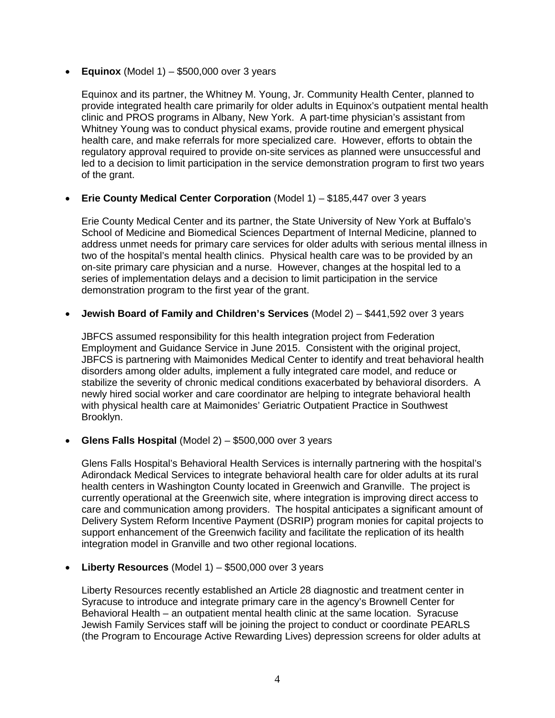**• Equinox** (Model  $1$ )  $-$  \$500,000 over 3 years

Equinox and its partner, the Whitney M. Young, Jr. Community Health Center, planned to provide integrated health care primarily for older adults in Equinox's outpatient mental health clinic and PROS programs in Albany, New York. A part-time physician's assistant from Whitney Young was to conduct physical exams, provide routine and emergent physical health care, and make referrals for more specialized care. However, efforts to obtain the regulatory approval required to provide on-site services as planned were unsuccessful and led to a decision to limit participation in the service demonstration program to first two years of the grant.

## • **Erie County Medical Center Corporation** (Model 1) – \$185,447 over 3 years

Erie County Medical Center and its partner, the State University of New York at Buffalo's School of Medicine and Biomedical Sciences Department of Internal Medicine, planned to address unmet needs for primary care services for older adults with serious mental illness in two of the hospital's mental health clinics. Physical health care was to be provided by an on-site primary care physician and a nurse. However, changes at the hospital led to a series of implementation delays and a decision to limit participation in the service demonstration program to the first year of the grant.

• **Jewish Board of Family and Children's Services** (Model 2) – \$441,592 over 3 years

JBFCS assumed responsibility for this health integration project from Federation Employment and Guidance Service in June 2015. Consistent with the original project, JBFCS is partnering with Maimonides Medical Center to identify and treat behavioral health disorders among older adults, implement a fully integrated care model, and reduce or stabilize the severity of chronic medical conditions exacerbated by behavioral disorders. A newly hired social worker and care coordinator are helping to integrate behavioral health with physical health care at Maimonides' Geriatric Outpatient Practice in Southwest Brooklyn.

• **Glens Falls Hospital** (Model 2) – \$500,000 over 3 years

Glens Falls Hospital's Behavioral Health Services is internally partnering with the hospital's Adirondack Medical Services to integrate behavioral health care for older adults at its rural health centers in Washington County located in Greenwich and Granville. The project is currently operational at the Greenwich site, where integration is improving direct access to care and communication among providers. The hospital anticipates a significant amount of Delivery System Reform Incentive Payment (DSRIP) program monies for capital projects to support enhancement of the Greenwich facility and facilitate the replication of its health integration model in Granville and two other regional locations.

• **Liberty Resources** (Model 1) – \$500,000 over 3 years

Liberty Resources recently established an Article 28 diagnostic and treatment center in Syracuse to introduce and integrate primary care in the agency's Brownell Center for Behavioral Health – an outpatient mental health clinic at the same location. Syracuse Jewish Family Services staff will be joining the project to conduct or coordinate PEARLS (the Program to Encourage Active Rewarding Lives) depression screens for older adults at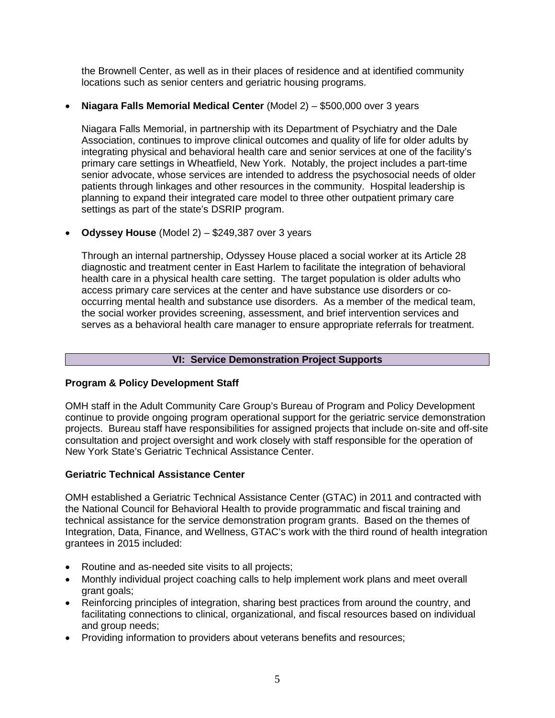the Brownell Center, as well as in their places of residence and at identified community locations such as senior centers and geriatric housing programs.

## • **Niagara Falls Memorial Medical Center** (Model 2) – \$500,000 over 3 years

Niagara Falls Memorial, in partnership with its Department of Psychiatry and the Dale Association, continues to improve clinical outcomes and quality of life for older adults by integrating physical and behavioral health care and senior services at one of the facility's primary care settings in Wheatfield, New York. Notably, the project includes a part-time senior advocate, whose services are intended to address the psychosocial needs of older patients through linkages and other resources in the community. Hospital leadership is planning to expand their integrated care model to three other outpatient primary care settings as part of the state's DSRIP program.

• **Odyssey House** (Model 2) – \$249,387 over 3 years

Through an internal partnership, Odyssey House placed a social worker at its Article 28 diagnostic and treatment center in East Harlem to facilitate the integration of behavioral health care in a physical health care setting. The target population is older adults who access primary care services at the center and have substance use disorders or cooccurring mental health and substance use disorders. As a member of the medical team, the social worker provides screening, assessment, and brief intervention services and serves as a behavioral health care manager to ensure appropriate referrals for treatment.

## **VI: Service Demonstration Project Supports**

## **Program & Policy Development Staff**

OMH staff in the Adult Community Care Group's Bureau of Program and Policy Development continue to provide ongoing program operational support for the geriatric service demonstration projects. Bureau staff have responsibilities for assigned projects that include on-site and off-site consultation and project oversight and work closely with staff responsible for the operation of New York State's Geriatric Technical Assistance Center.

## **Geriatric Technical Assistance Center**

OMH established a Geriatric Technical Assistance Center (GTAC) in 2011 and contracted with the National Council for Behavioral Health to provide programmatic and fiscal training and technical assistance for the service demonstration program grants. Based on the themes of Integration, Data, Finance, and Wellness, GTAC's work with the third round of health integration grantees in 2015 included:

- Routine and as-needed site visits to all projects;
- Monthly individual project coaching calls to help implement work plans and meet overall grant goals;
- Reinforcing principles of integration, sharing best practices from around the country, and facilitating connections to clinical, organizational, and fiscal resources based on individual and group needs;
- Providing information to providers about veterans benefits and resources;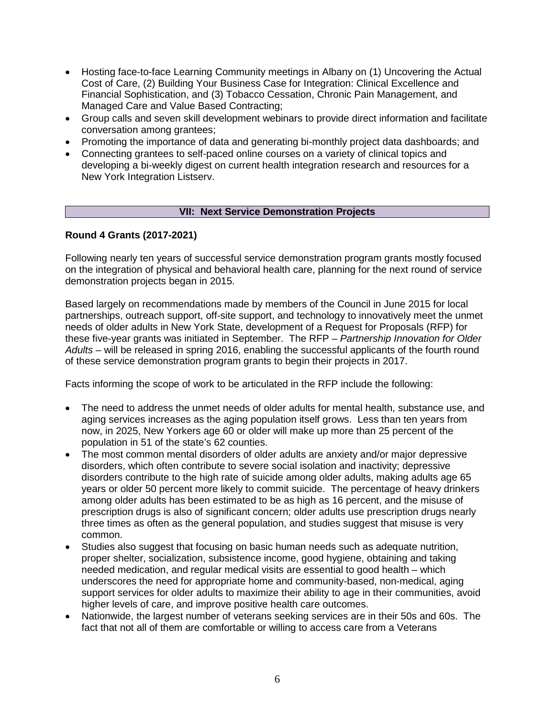- Hosting face-to-face Learning Community meetings in Albany on (1) Uncovering the Actual Cost of Care, (2) Building Your Business Case for Integration: Clinical Excellence and Financial Sophistication, and (3) Tobacco Cessation, Chronic Pain Management, and Managed Care and Value Based Contracting;
- Group calls and seven skill development webinars to provide direct information and facilitate conversation among grantees;
- Promoting the importance of data and generating bi-monthly project data dashboards; and
- Connecting grantees to self-paced online courses on a variety of clinical topics and developing a bi-weekly digest on current health integration research and resources for a New York Integration Listserv.

## **VII: Next Service Demonstration Projects**

## **Round 4 Grants (2017-2021)**

Following nearly ten years of successful service demonstration program grants mostly focused on the integration of physical and behavioral health care, planning for the next round of service demonstration projects began in 2015.

Based largely on recommendations made by members of the Council in June 2015 for local partnerships, outreach support, off-site support, and technology to innovatively meet the unmet needs of older adults in New York State, development of a Request for Proposals (RFP) for these five-year grants was initiated in September. The RFP – *Partnership Innovation for Older Adults* – will be released in spring 2016, enabling the successful applicants of the fourth round of these service demonstration program grants to begin their projects in 2017.

Facts informing the scope of work to be articulated in the RFP include the following:

- The need to address the unmet needs of older adults for mental health, substance use, and aging services increases as the aging population itself grows. Less than ten years from now, in 2025, New Yorkers age 60 or older will make up more than 25 percent of the population in 51 of the state's 62 counties.
- The most common mental disorders of older adults are anxiety and/or major depressive disorders, which often contribute to severe social isolation and inactivity; depressive disorders contribute to the high rate of suicide among older adults, making adults age 65 years or older 50 percent more likely to commit suicide. The percentage of heavy drinkers among older adults has been estimated to be as high as 16 percent, and the misuse of prescription drugs is also of significant concern; older adults use prescription drugs nearly three times as often as the general population, and studies suggest that misuse is very common.
- Studies also suggest that focusing on basic human needs such as adequate nutrition, proper shelter, socialization, subsistence income, good hygiene, obtaining and taking needed medication, and regular medical visits are essential to good health – which underscores the need for appropriate home and community-based, non-medical, aging support services for older adults to maximize their ability to age in their communities, avoid higher levels of care, and improve positive health care outcomes.
- Nationwide, the largest number of veterans seeking services are in their 50s and 60s. The fact that not all of them are comfortable or willing to access care from a Veterans